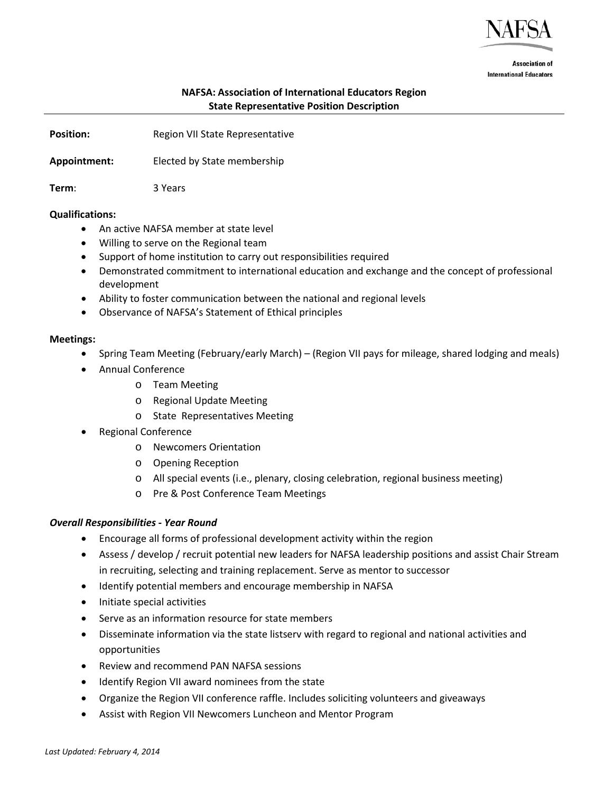

**Association of International Educators** 

# **NAFSA: Association of International Educators Region State Representative Position Description**

**Position: Region VII State Representative** 

**Appointment:** Elected by State membership

**Term**: 3 Years

### **Qualifications:**

- An active NAFSA member at state level
- Willing to serve on the Regional team
- Support of home institution to carry out responsibilities required
- Demonstrated commitment to international education and exchange and the concept of professional development
- Ability to foster communication between the national and regional levels
- Observance of NAFSA's Statement of Ethical principles

#### **Meetings:**

- Spring Team Meeting (February/early March) (Region VII pays for mileage, shared lodging and meals)
- Annual Conference
	- o Team Meeting
	- o Regional Update Meeting
	- o State Representatives Meeting
- Regional Conference
	- o Newcomers Orientation
	- o Opening Reception
	- o All special events (i.e., plenary, closing celebration, regional business meeting)
	- o Pre & Post Conference Team Meetings

### *Overall Responsibilities - Year Round*

- Encourage all forms of professional development activity within the region
- Assess / develop / recruit potential new leaders for NAFSA leadership positions and assist Chair Stream in recruiting, selecting and training replacement. Serve as mentor to successor
- Identify potential members and encourage membership in NAFSA
- Initiate special activities
- Serve as an information resource for state members
- Disseminate information via the state listserv with regard to regional and national activities and opportunities
- Review and recommend PAN NAFSA sessions
- Identify Region VII award nominees from the state
- Organize the Region VII conference raffle. Includes soliciting volunteers and giveaways
- Assist with Region VII Newcomers Luncheon and Mentor Program